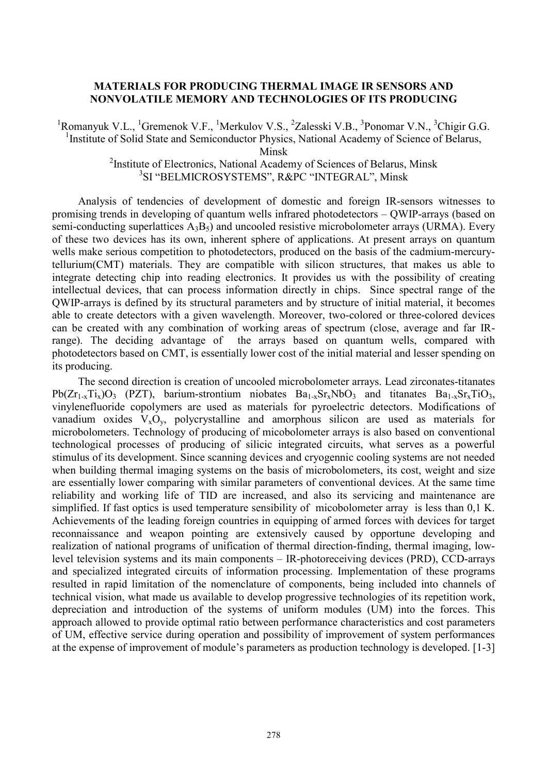## **MATERIALS FOR PRODUCING THERMAL IMAGE IR SENSORS AND NONVOLATILE MEMORY AND TECHNOLOGIES OF ITS PRODUCING**

<sup>1</sup>Romanyuk V.L., <sup>1</sup>Gremenok V.F., <sup>1</sup>Merkulov V.S., <sup>2</sup>Zalesski V.B., <sup>3</sup>Ponomar V.N., <sup>3</sup>Chigir G.G.

<sup>1</sup>Institute of Solid State and Semiconductor Physics, National Academy of Science of Belarus,

Minsk

<sup>2</sup>Institute of Electronics, National Academy of Sciences of Belarus, Minsk 3 SI "BELMICROSYSTEMS", R&PC "INTEGRAL", Minsk

Analysis of tendencies of development of domestic and foreign IR-sensors witnesses to promising trends in developing of quantum wells infrared photodetectors – QWIP-arrays (based on semi-conducting superlattices  $A_3B_5$ ) and uncooled resistive microbolometer arrays (URMA). Every of these two devices has its own, inherent sphere of applications. At present arrays on quantum wells make serious competition to photodetectors, produced on the basis of the cadmium-mercurytellurium(CMT) materials. They are compatible with silicon structures, that makes us able to integrate detecting chip into reading electronics. It provides us with the possibility of creating intellectual devices, that can process information directly in chips. Since spectral range of the QWIP-arrays is defined by its structural parameters and by structure of initial material, it becomes able to create detectors with a given wavelength. Moreover, two-colored or three-colored devices can be created with any combination of working areas of spectrum (close, average and far IRrange). The deciding advantage of the arrays based on quantum wells, compared with photodetectors based on CMT, is essentially lower cost of the initial material and lesser spending on its producing.

The second direction is creation of uncooled microbolometer arrays. Lead zirconates-titanates  $Pb(Zr_{1-x}Ti_x)O_3$  (PZT), barium-strontium niobates  $Ba_{1-x}Sr_xNbO_3$  and titanates  $Ba_{1-x}Sr_xTiO_3$ , vinylenefluoride copolymers are used as materials for pyroelectric detectors. Modifications of vanadium oxides  $V_xO_y$ , polycrystalline and amorphous silicon are used as materials for microbolometers. Technology of producing of micobolometer arrays is also based on conventional technological processes of producing of silicic integrated circuits, what serves as a powerful stimulus of its development. Since scanning devices and cryogennic cooling systems are not needed when building thermal imaging systems on the basis of microbolometers, its cost, weight and size are essentially lower comparing with similar parameters of conventional devices. At the same time reliability and working life of TID are increased, and also its servicing and maintenance are simplified. If fast optics is used temperature sensibility of micobolometer array is less than 0,1 K. Achievements of the leading foreign countries in equipping of armed forces with devices for target reconnaissance and weapon pointing are extensively caused by opportune developing and realization of national programs of unification of thermal direction-finding, thermal imaging, lowlevel television systems and its main components – IR-photoreceiving devices (PRD), CCD-arrays and specialized integrated circuits of information processing. Implementation of these programs resulted in rapid limitation of the nomenclature of components, being included into channels of technical vision, what made us available to develop progressive technologies of its repetition work, depreciation and introduction of the systems of uniform modules (UM) into the forces. This approach allowed to provide optimal ratio between performance characteristics and cost parameters of UM, effective service during operation and possibility of improvement of system performances at the expense of improvement of module's parameters as production technology is developed. [1-3]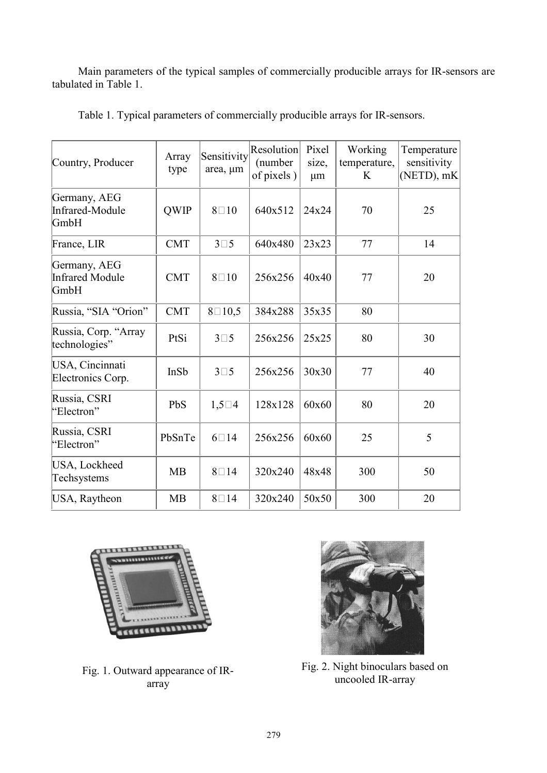Main parameters of the typical samples of commercially producible arrays for IR-sensors are tabulated in Table 1.

| Country, Producer                              | Array<br>type | Sensitivity<br>area, um | <b>Resolution</b><br>(number<br>of pixels) | Pixel<br>size,<br>$\mu$ m | Working<br>temperature,<br>K | Temperature<br>sensitivity<br>(NETD), mK |
|------------------------------------------------|---------------|-------------------------|--------------------------------------------|---------------------------|------------------------------|------------------------------------------|
| Germany, AEG<br>Infrared-Module<br>GmbH        | <b>QWIP</b>   | $8\square 10$           | 640x512                                    | 24x24                     | 70                           | 25                                       |
| France, LIR                                    | <b>CMT</b>    | $3\square 5$            | 640x480                                    | 23x23                     | 77                           | 14                                       |
| Germany, AEG<br><b>Infrared Module</b><br>GmbH | <b>CMT</b>    | $8\square 10$           | 256x256                                    | 40x40                     | 77                           | 20                                       |
| Russia, "SIA "Orion"                           | <b>CMT</b>    | $8 \square 10,5$        | 384x288                                    | 35x35                     | 80                           |                                          |
| Russia, Corp. "Array<br>technologies"          | PtSi          | $3\square 5$            | 256x256                                    | 25x25                     | 80                           | 30                                       |
| USA, Cincinnati<br>Electronics Corp.           | InSb          | $3\square 5$            | 256x256                                    | 30x30                     | 77                           | 40                                       |
| Russia, CSRI<br>"Electron"                     | PbS           | $1,5 \square 4$         | 128x128                                    | 60x60                     | 80                           | 20                                       |
| Russia, CSRI<br>"Electron"                     | PbSnTe        | $6\square 14$           | 256x256                                    | 60x60                     | 25                           | 5                                        |
| USA, Lockheed<br>Techsystems                   | <b>MB</b>     | $8\square 14$           | 320x240                                    | 48x48                     | 300                          | 50                                       |
| USA, Raytheon                                  | <b>MB</b>     | $8\square 14$           | 320x240                                    | 50x50                     | 300                          | 20                                       |

Table 1. Typical parameters of commercially producible arrays for IR-sensors.



 Fig. 1. Outward appearance of IRarray



Fig. 2. Night binoculars based on uncooled IR-array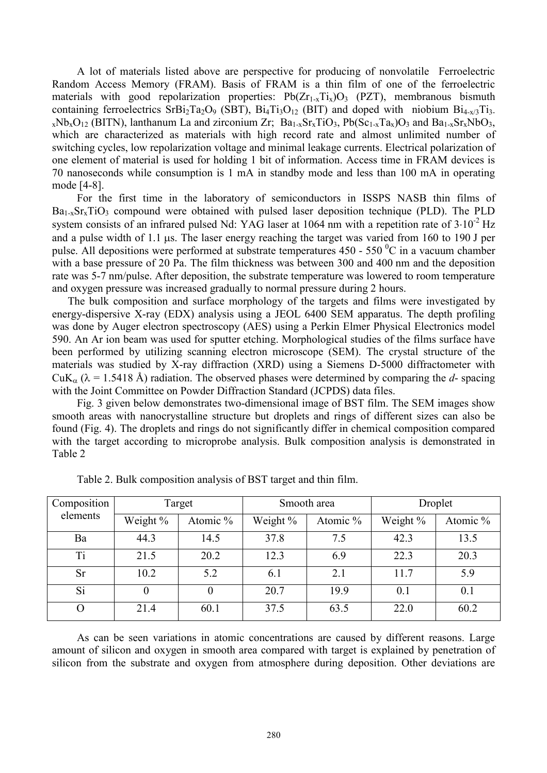A lot of materials listed above are perspective for producing of nonvolatile Ferroelectric Random Access Memory (FRAM). Basis of FRAM is a thin film of one of the ferroelectric materials with good repolarization properties:  $Pb(Zr_{1-x}Ti_x)O_3$  (PZT), membranous bismuth containing ferroelectrics  $SrBi<sub>2</sub>Ta<sub>2</sub>O<sub>9</sub> (SBT)$ ,  $Bi<sub>4</sub>Ti<sub>3</sub>O<sub>12</sub> (BIT)$  and doped with niobium  $Bi<sub>4-x/3</sub>Ti<sub>3</sub>$ .  $xNb_xO_{12}$  (BITN), lanthanum La and zirconium Zr;  $Ba_{1-x}Sr_xTiO_3$ ,  $Pb(Sc_{1-x}Ta_x)O_3$  and  $Ba_{1-x}Sr_xNbO_3$ , which are characterized as materials with high record rate and almost unlimited number of switching cycles, low repolarization voltage and minimal leakage currents. Electrical polarization of one element of material is used for holding 1 bit of information. Access time in FRAM devices is 70 nanoseconds while consumption is 1 mA in standby mode and less than 100 mA in operating mode [4-8].

For the first time in the laboratory of semiconductors in ISSPS NASB thin films of  $Ba<sub>1-x</sub>Sr<sub>x</sub>TiO<sub>3</sub>$  compound were obtained with pulsed laser deposition technique (PLD). The PLD system consists of an infrared pulsed Nd: YAG laser at 1064 nm with a repetition rate of  $3.10^{-2}$  Hz and a pulse width of 1.1 us. The laser energy reaching the target was varied from 160 to 190 J per pulse. All depositions were performed at substrate temperatures  $450 - 550$  °C in a vacuum chamber with a base pressure of 20 Pa. The film thickness was between 300 and 400 nm and the deposition rate was 5-7 nm/pulse. After deposition, the substrate temperature was lowered to room temperature and oxygen pressure was increased gradually to normal pressure during 2 hours.

The bulk composition and surface morphology of the targets and films were investigated by energy-dispersive X-ray (EDX) analysis using a JEOL 6400 SEM apparatus. The depth profiling was done by Auger electron spectroscopy (AES) using a Perkin Elmer Physical Electronics model 590. An Ar ion beam was used for sputter etching. Morphological studies of the films surface have been performed by utilizing scanning electron microscope (SEM). The crystal structure of the materials was studied by X-ray diffraction (XRD) using a Siemens D-5000 diffractometer with  $CuK<sub>α</sub> (λ = 1.5418 Å)$  radiation. The observed phases were determined by comparing the *d*- spacing with the Joint Committee on Powder Diffraction Standard (JCPDS) data files.

Fig. 3 given below demonstrates two-dimensional image of BST film. The SEM images show smooth areas with nanocrystalline structure but droplets and rings of different sizes can also be found (Fig. 4). The droplets and rings do not significantly differ in chemical composition compared with the target according to microprobe analysis. Bulk composition analysis is demonstrated in Table 2

| Composition<br>elements | Target   |          | Smooth area |          | Droplet  |          |
|-------------------------|----------|----------|-------------|----------|----------|----------|
|                         | Weight % | Atomic % | Weight %    | Atomic % | Weight % | Atomic % |
| Ba                      | 44.3     | 14.5     | 37.8        | 7.5      | 42.3     | 13.5     |
| <b>Ti</b>               | 21.5     | 20.2     | 12.3        | 6.9      | 22.3     | 20.3     |
| Sr                      | 10.2     | 5.2      | 6.1         | 2.1      | 11.7     | 5.9      |
| Si                      | 0        |          | 20.7        | 19.9     | 0.1      | 0.1      |
| $\theta$                | 21.4     | 60.1     | 37.5        | 63.5     | 22.0     | 60.2     |

Table 2. Bulk composition analysis of BST target and thin film.

As can be seen variations in atomic concentrations are caused by different reasons. Large amount of silicon and oxygen in smooth area compared with target is explained by penetration of silicon from the substrate and oxygen from atmosphere during deposition. Other deviations are